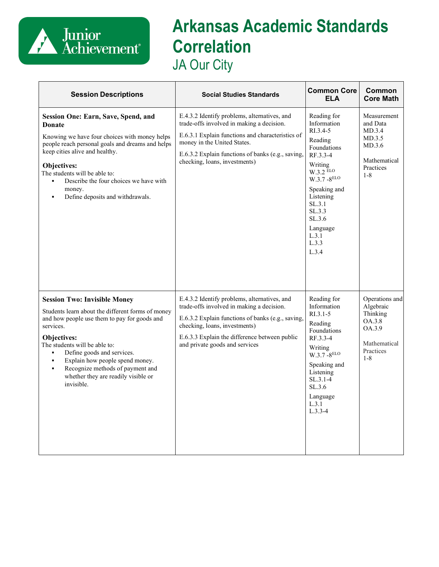

## **Arkansas Academic Standards Correlation** JA Our City

| <b>Session Descriptions</b>                                                                                                                                                                                                                                                                                                                                                       | <b>Social Studies Standards</b>                                                                                                                                                                                                                                    | <b>Common Core</b><br><b>ELA</b>                                                                                                                                                                                                | Common<br><b>Core Math</b>                                                                          |
|-----------------------------------------------------------------------------------------------------------------------------------------------------------------------------------------------------------------------------------------------------------------------------------------------------------------------------------------------------------------------------------|--------------------------------------------------------------------------------------------------------------------------------------------------------------------------------------------------------------------------------------------------------------------|---------------------------------------------------------------------------------------------------------------------------------------------------------------------------------------------------------------------------------|-----------------------------------------------------------------------------------------------------|
| <b>Session One: Earn, Save, Spend, and</b><br><b>Donate</b><br>Knowing we have four choices with money helps<br>people reach personal goals and dreams and helps<br>keep cities alive and healthy.<br>Objectives:<br>The students will be able to:<br>Describe the four choices we have with<br>money.<br>Define deposits and withdrawals.                                        | E.4.3.2 Identify problems, alternatives, and<br>trade-offs involved in making a decision.<br>E.6.3.1 Explain functions and characteristics of<br>money in the United States.<br>E.6.3.2 Explain functions of banks (e.g., saving,<br>checking, loans, investments) | Reading for<br>Information<br>RI.3.4-5<br>Reading<br>Foundations<br>RF.3.3-4<br>Writing<br>$W.3.2$ $ELO$<br>$W.3.7 - 8^{ELO}$<br>Speaking and<br>Listening<br>SL.3.1<br>SL.3.3<br>SL.3.6<br>Language<br>L.3.1<br>L.3.3<br>L.3.4 | Measurement<br>and Data<br>MD.3.4<br>MD.3.5<br>MD.3.6<br>Mathematical<br>Practices<br>$1 - 8$       |
| <b>Session Two: Invisible Money</b><br>Students learn about the different forms of money<br>and how people use them to pay for goods and<br>services.<br>Objectives:<br>The students will be able to:<br>Define goods and services.<br>Explain how people spend money.<br>Recognize methods of payment and<br>$\blacksquare$<br>whether they are readily visible or<br>invisible. | E.4.3.2 Identify problems, alternatives, and<br>trade-offs involved in making a decision.<br>E.6.3.2 Explain functions of banks (e.g., saving,<br>checking, loans, investments)<br>E.6.3.3 Explain the difference between public<br>and private goods and services | Reading for<br>Information<br>$R1.3.1-5$<br>Reading<br>Foundations<br>RF.3.3-4<br>Writing<br>$W.3.7 - 8^{ELO}$<br>Speaking and<br>Listening<br>$SL.3.1-4$<br>SL.3.6<br>Language<br>L.3.1<br>$L.3.3-4$                           | Operations and<br>Algebraic<br>Thinking<br>OA.3.8<br>OA.3.9<br>Mathematical<br>Practices<br>$1 - 8$ |